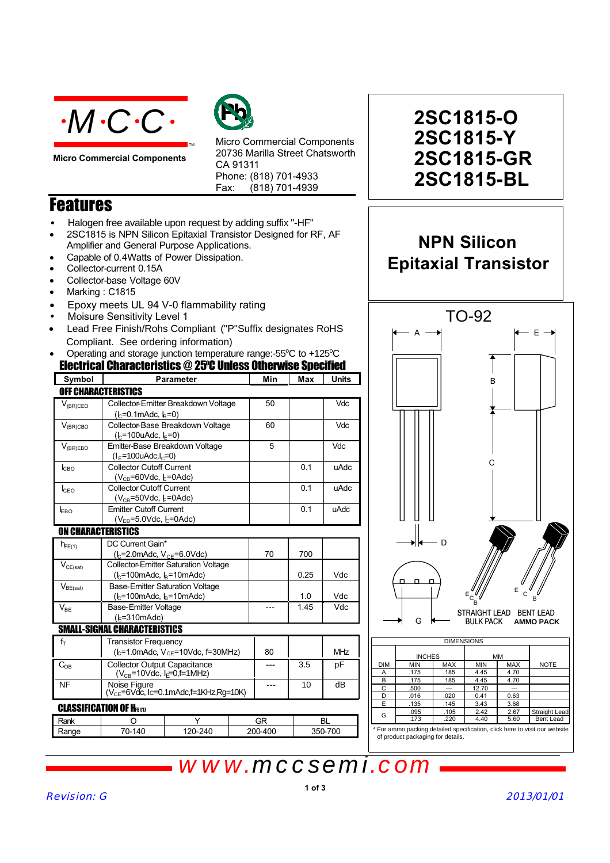

**Micro Commercial Components**



Micro Commercial Components 20736 Marilla Street Chatsworth CA 91311 Phone: (818) 701-4933 Fax: (818) 701-4939

### **Features**

- Halogen free available upon request by adding suffix "-HF"
- 2SC1815 is NPN Silicon Epitaxial Transistor Designed for RF, AF Amplifier and General Purpose Applications.

TM

- Capable of 0.4Watts of Power Dissipation.
- Collector-current 0.15A
- Collector-base Voltage 60V
- Marking: C1815
- x Epoxy meets UL 94 V-0 flammability rating
- Moisure Sensitivity Level 1
- Lead Free Finish/Rohs Compliant ("P"Suffix designates RoHS Compliant. See ordering information)
- Electrical Characteristics @ 25O C Unless Otherwise Specified • Operating and storage junction temperature range:- $55^{\circ}$ C to +125 $^{\circ}$ C

| Symbol                    | <b>Parameter</b>                                               | Min | Max  | <b>Units</b> |
|---------------------------|----------------------------------------------------------------|-----|------|--------------|
|                           | OFF CHARACTERISTICS                                            |     |      |              |
| $V_{(BR)CEO}$             | Collector-Emitter Breakdown Voltage                            | 50  |      | Vdc          |
|                           | $(k=0.1$ mAdc, $k=0$                                           |     |      |              |
| $V_{(BR)CBO}$             | Collector-Base Breakdown Voltage<br>60<br>$(h=100u$ Adc, $h=0$ |     |      |              |
| $V_{(BR)EBO}$             | Emitter-Base Breakdown Voltage                                 | 5   |      | <b>Vdc</b>   |
|                           | $(I_F = 100$ uAdc, $I_C = 0$ )                                 |     |      |              |
| Iсво                      | <b>Collector Cutoff Current</b>                                |     | 0.1  | uAdc         |
|                           | $(V_{CB} = 60$ Vdc, $E = 0$ Adc)                               |     |      |              |
| <b>I</b> CEO              | <b>Collector Cutoff Current</b>                                |     | 0.1  | uAdc         |
|                           | $(V_{CB} = 50$ Vdc, $E = 0$ Adc)                               |     |      |              |
| EBO                       | <b>Emitter Cutoff Current</b>                                  |     | 0.1  | uAdc         |
|                           | $(V_{FB} = 5.0$ Vdc, $L = 0$ Adc)                              |     |      |              |
| <b>ON CHARACTERISTICS</b> |                                                                |     |      |              |
| $h_{FE(1)}$               | DC Current Gain*                                               |     |      |              |
|                           | ( $k = 2.0$ mAdc, $V_{CE} = 6.0$ Vdc)                          | 70  | 700  |              |
| $V_{CE(sat)}$             | <b>Collector-Emitter Saturation Voltage</b>                    |     |      |              |
|                           | $(k=100 \text{m}$ Adc, $k=10 \text{m}$ Adc)                    |     | 0.25 | Vdc          |
| $V_{BE(sat)}$             | <b>Base-Emitter Saturation Voltage</b>                         |     |      |              |
|                           | $(k=100 \text{m}$ Adc, $k=10 \text{m}$ Adc)                    |     | 1.0  | Vdc          |
| $V_{BE}$                  | <b>Base-Emitter Voltage</b>                                    |     | 1.45 | Vdc          |
|                           | $(E=310mAdc)$                                                  |     |      |              |
|                           | <b>SMALL-SIGNAL CHARACTERISTICS</b>                            |     |      |              |
| $\epsilon$                | アフィー・ディー・アー                                                    |     |      |              |

|                               | <b>Transistor Frequency</b>                                                      |                                          |  |         |     |         |
|-------------------------------|----------------------------------------------------------------------------------|------------------------------------------|--|---------|-----|---------|
|                               |                                                                                  | $(k=1.0$ mAdc, $V_{CE}=10$ Vdc, f=30MHz) |  | 80      |     | MHz     |
| $C_{OB}$                      | <b>Collector Output Capacitance</b><br>$(V_{CB} = 10$ Vdc, $I_E = 0, f = 1$ MHz) |                                          |  |         | 3.5 | рF      |
| NF                            | Noise Figure<br>(V <sub>CE</sub> =6Vdc, lc=0.1mAdc,f=1KHz,Rg=10K)                |                                          |  |         | 10  | dВ      |
| <b>CLASSIFICATION OF HELM</b> |                                                                                  |                                          |  |         |     |         |
| Rank                          |                                                                                  |                                          |  | GR      |     | ВL      |
| Range                         | 70-140                                                                           | 120-240                                  |  | 200-400 |     | 350-700 |

## **2SC1815-Y 2SC1815-GR 2SC1815-BL 2SC1815-O**

**NPN Silicon**



|            | <b>INCHES</b>                     |            | MМ         |            |                                                                            |
|------------|-----------------------------------|------------|------------|------------|----------------------------------------------------------------------------|
| <b>DIM</b> | <b>MIN</b>                        | <b>MAX</b> | <b>MIN</b> | <b>MAX</b> | <b>NOTE</b>                                                                |
| A          | .175                              | .185       | 4.45       | 4.70       |                                                                            |
| в          | .175                              | .185       | 4.45       | 4.70       |                                                                            |
| C          | .500                              | ---        | 12.70      | ---        |                                                                            |
| D          | .016                              | .020       | 0.41       | 0.63       |                                                                            |
| Е          | .135                              | .145       | 3.43       | 3.68       |                                                                            |
| G          | .095                              | .105       | 2.42       | 2.67       | <b>Straight Lead</b>                                                       |
|            | .173                              | .220       | 4.40       | 5.60       | Bent Lead                                                                  |
|            | of product packaging for details. |            |            |            | * For ammo packing detailed specification, click here to visit our website |

# *www.mccsemi.com*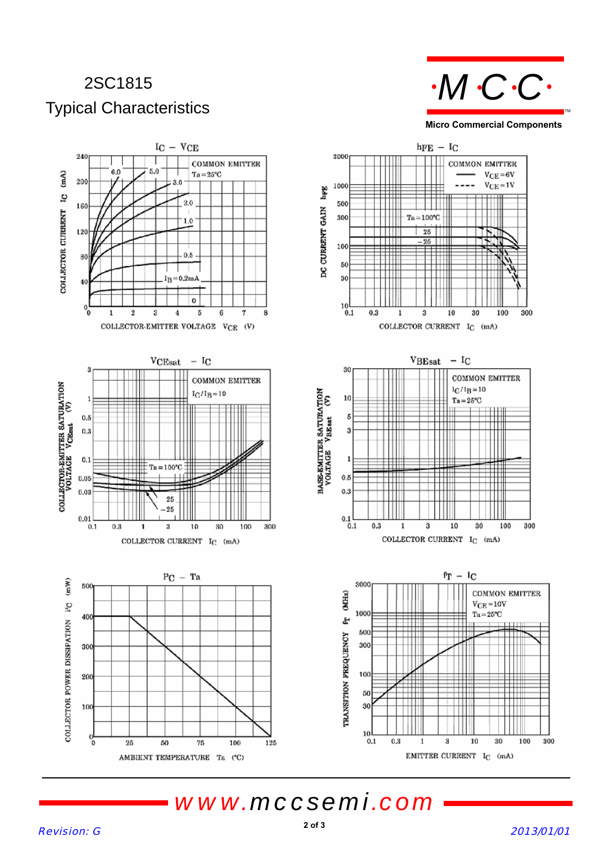## 2SC1815 Typical Characteristics



**Micro Commercial Components**



*www.mccsemi.com*